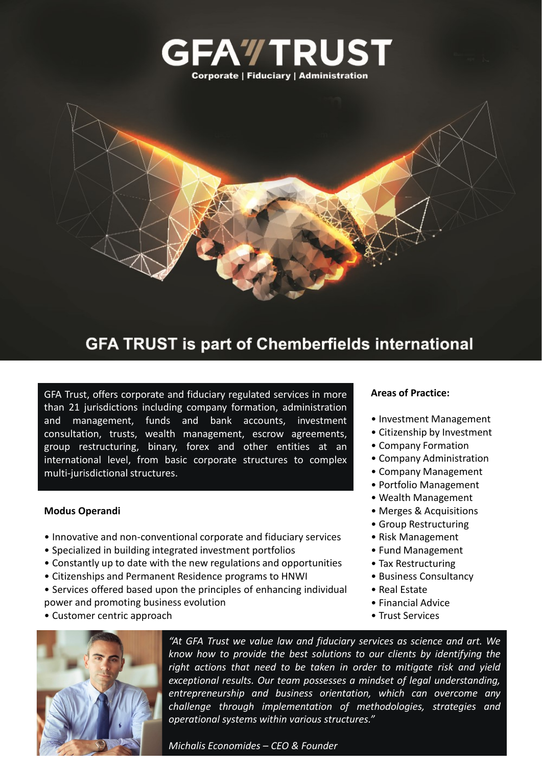

### **GFA TRUST is part of Chemberfields international**

GFA Trust, offers corporate and fiduciary regulated services in more than 21 jurisdictions including company formation, administration and management, funds and bank accounts, investment consultation, trusts, wealth management, escrow agreements, group restructuring, binary, forex and other entities at an international level, from basic corporate structures to complex multi-jurisdictional structures.

#### **Modus Operandi**

- Innovative and non-conventional corporate and fiduciary services
- Specialized in building integrated investment portfolios
- Constantly up to date with the new regulations and opportunities
- Citizenships and Permanent Residence programs to HNWI
- Services offered based upon the principles of enhancing individual power and promoting business evolution
- Customer centric approach



*"At GFA Trust we value law and fiduciary services as science and art. We know how to provide the best solutions to our clients by identifying the right actions that need to be taken in order to mitigate risk and yield exceptional results. Our team possesses a mindset of legal understanding, entrepreneurship and business orientation, which can overcome any challenge through implementation of methodologies, strategies and operational systems within various structures."*

#### **Areas of Practice:**

- Investment Management
- Citizenship by Investment
- Company Formation
- Company Administration
- Company Management
- Portfolio Management
- Wealth Management
- Merges & Acquisitions
- Group Restructuring
- Risk Management
- Fund Management
- Tax Restructuring
- Business Consultancy
- Real Estate
- Financial Advice
- Trust Services

*Michalis Economides – CEO & Founder*